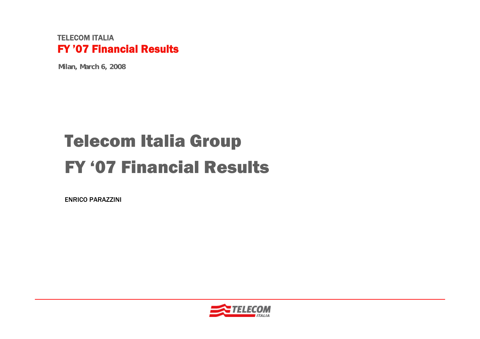#### TELECOM ITALIAFY '07 Financial Results

**Milan, March 6, 2008**

# Telecom Italia Group FY '07 Financial Results

ENRICO PARAZZINI

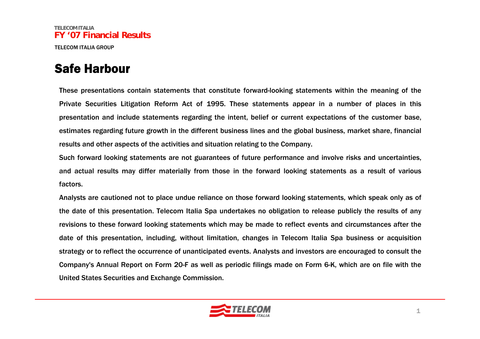#### Safe Harbour

These presentations contain statements that constitute forward-looking statements within the meaning of the Private Securities Litigation Reform Act of 1995. These statements appear in a number of places in this presentation and include statements regarding the intent, belief or current expectations of the customer base, estimates regarding future growth in the different business lines and the global business, market share, financial results and other aspects of the activities and situation relating to the Company.

Such forward looking statements are not guarantees of future performance and involve risks and uncertainties, and actual results may differ materially from those in the forward looking statements as a result of various factors.

Analysts are cautioned not to place undue reliance on those forward looking statements, which speak only as of the date of this presentation. Telecom Italia Spa undertakes no obligation to release publicly the results of any revisions to these forward looking statements which may be made to reflect events and circumstances after the date of this presentation, including, without limitation, changes in Telecom Italia Spa business or acquisition strategy or to reflect the occurrence of unanticipated events. Analysts and investors are encouraged to consult the Company's Annual Report on Form 20-F as well as periodic filings made on Form 6-K, which are on file with the United States Securities and Exchange Commission.

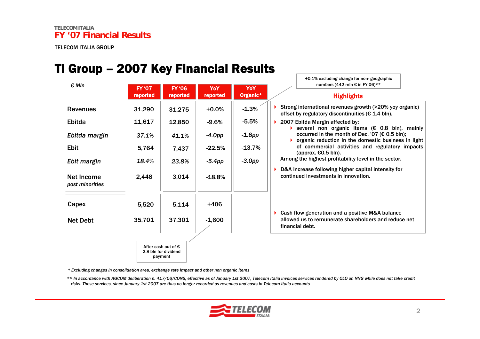#### TI Group – 2007 Key Financial Results

| $\epsilon$ Mln                | <b>FY '07</b> | numbers (442 mln € in FY'06)**<br><b>FY '06</b><br>YoY<br>YoY<br>Organic*<br>reported<br>reported<br><b>Highlights</b> |          |           |                                                                                                                                                                            |
|-------------------------------|---------------|------------------------------------------------------------------------------------------------------------------------|----------|-----------|----------------------------------------------------------------------------------------------------------------------------------------------------------------------------|
|                               | reported      |                                                                                                                        |          |           |                                                                                                                                                                            |
| <b>Revenues</b>               | 31,290        | 31,275                                                                                                                 | $+0.0%$  | $-1.3%$   | Strong international revenues growth (>20% yoy organic)<br>offset by regulatory discontinuities ( $\epsilon$ 1.4 bln).                                                     |
| Ebitda                        | 11,617        | 12,850                                                                                                                 | $-9.6%$  | $-5.5%$   | 2007 Ebitda Margin affected by:                                                                                                                                            |
| Ebitda margin                 | 37.1%         | 41.1%                                                                                                                  | $-4.0pp$ | $-1.8$ pp | Several non organic items ( $\epsilon$ 0.8 bln), mainly<br>occurred in the month of Dec. '07 ( $\epsilon$ 0.5 bln);<br>organic reduction in the domestic business in light |
| <b>Ebit</b>                   | 5,764         | 7,437                                                                                                                  | $-22.5%$ | $-13.7%$  | of commercial activities and regulatory impacts<br>(approx. $€0.5$ bln).                                                                                                   |
| Ebit margin                   | 18.4%         | 23.8%                                                                                                                  | $-5.4pp$ | $-3.0pp$  | Among the highest profitability level in the sector.                                                                                                                       |
| Net Income<br>post minorities | 2,448         | 3,014                                                                                                                  | $-18.8%$ |           | D&A increase following higher capital intensity for<br>continued investments in innovation.                                                                                |
| Capex                         | 5,520         | 5,114                                                                                                                  | $+406$   |           |                                                                                                                                                                            |
| <b>Net Debt</b>               | 35,701        | 37,301                                                                                                                 | $-1,600$ |           | Cash flow generation and a positive M&A balance<br>Þ.<br>allowed us to remunerate shareholders and reduce net<br>financial debt.                                           |
|                               |               | After cash out of $\epsilon$<br>2.8 bln for dividend<br>payment                                                        |          |           |                                                                                                                                                                            |

*\* Excluding changes in consolidation area, exchange rate impact and other non organic items*

*\*\* In accordance with AGCOM deliberation n. 417/06/CONS, effective as of January 1st 2007, Telecom Italia invoices services rendered by OLO on NNG while does not take credit risks. These services, since January 1st 2007 are thus no longer recorded as revenues and costs in Telecom Italia accounts*



+0.1% excluding change for non- geographic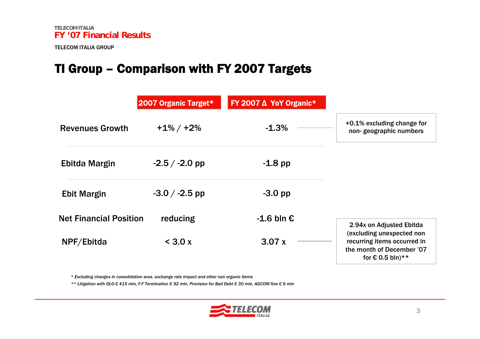#### TI Group – Comparison with FY 2007 Targets

|                               | 2007 Organic Target* | FY 2007 $\Delta$ YoY Organic* |                                                                                                                    |
|-------------------------------|----------------------|-------------------------------|--------------------------------------------------------------------------------------------------------------------|
| <b>Revenues Growth</b>        | $+1\%$ / $+2\%$      | $-1.3%$                       | +0.1% excluding change for<br>non-geographic numbers                                                               |
| Ebitda Margin                 | $-2.5 / -2.0$ pp     | $-1.8$ pp                     |                                                                                                                    |
| <b>Ebit Margin</b>            | $-3.0 / -2.5$ pp     | $-3.0$ pp                     |                                                                                                                    |
| <b>Net Financial Position</b> | reducing             | $-1.6$ bln $\epsilon$         | 2.94x on Adjusted Ebitda                                                                                           |
| NPF/Ebitda                    | $<$ 3.0 x            | 3.07x                         | (excluding unexpected non<br>recurring items occurred in<br>the month of December '07<br>for $\epsilon$ 0.5 bln)** |

*\* Excluding changes in consolidation area, exchange rate impact and other non organic items*

*\*\* Litigation with OLO € 415 mln, F-F Termination € 92 mln, Provision for Bad Debt € 30 mln, AGCOM fine € 6 mln*

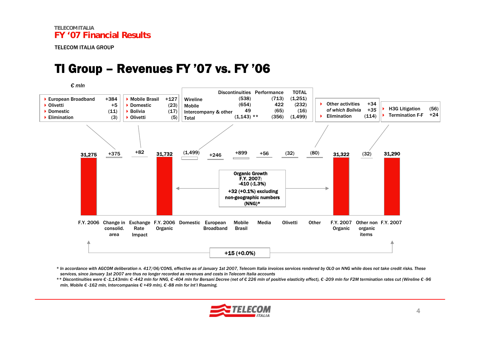#### TI Group – Revenues FY '07 vs. FY '06



*\* In accordance with AGCOM deliberation n. 417/06/CONS, effective as of January 1st 2007, Telecom Italia invoices services rendered by OLO on NNG while does not take credit risks. These services, since January 1st 2007 are thus no longer recorded as revenues and costs in Telecom Italia accounts*

\*\* Discontinuities were € -1,143mln: € -442 mln for NNG. € -404 mln for Bersani Decree (net of € 226 mln of positive elasticity effect), € -209 mln for F2M termination rates cut (Wireline € -96 *mln, Mobile € -162 mln, Intercompanies € +49 mln), € -88 mln for Int'l Roaming.* 

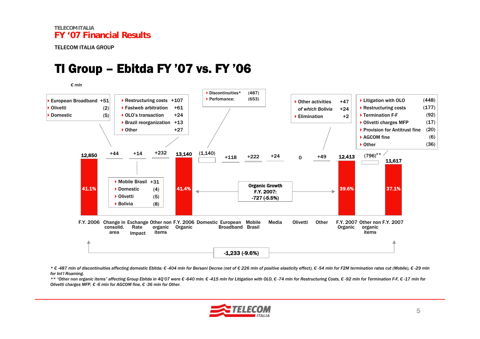### TI Group – Ebitda FY '07 vs. FY '06

*€ mln*



\* €-487 mln of discontinuities affecting domestic Ebitda: €-404 mln for Bersani Decree (net of €226 mln of positive elasticity effect), €-54 mln for F2M termination rates cut (Mobile), €-29 mln *for Int'l Roaming.* 

\*\* "Other non organic items" affecting Group Ebitda in 4Q'07 were € -640 mln: € -415 mln for Litigation with OLO. € -74 mln for Restructuring Costs. € -92 mln for Termination F-F. € -17 mln for *Olivetti charges MFP, € -6 mln for AGCOM fine, € -36 mln for Other.* 

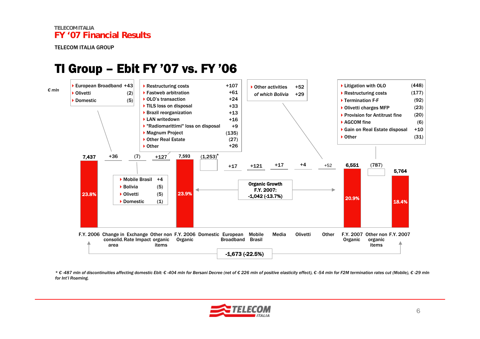#### TI Group – Ebit FY '07 vs. FY '06



\* €-487 mln of discontinuities affecting domestic Ebit: €-404 mln for Bersani Decree (net of €226 mln of positive elasticity effect), €-54 mln for F2M termination rates cut (Mobile), €-29 mln *for Int'l Roaming.* 

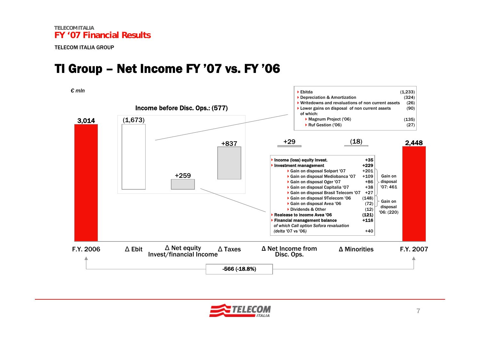#### TI Group – Net Income FY '07 vs. FY '06

*€ mln*



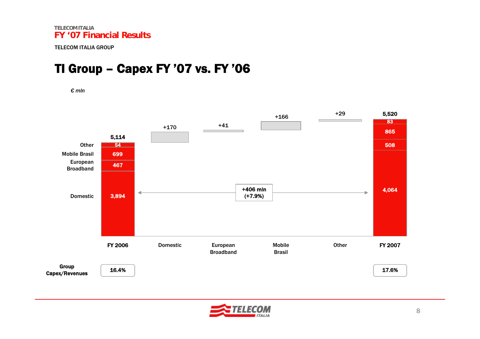#### TI Group – Capex FY '07 vs. FY '06

*€ mln*



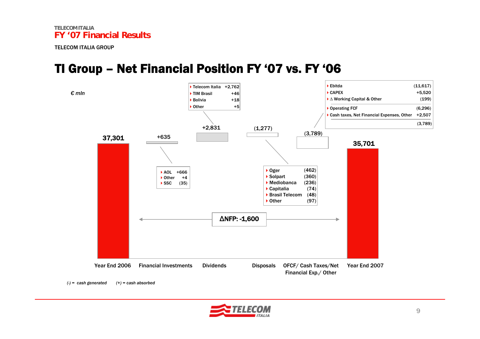#### TI Group – Net Financial Position FY '07 vs. FY '06





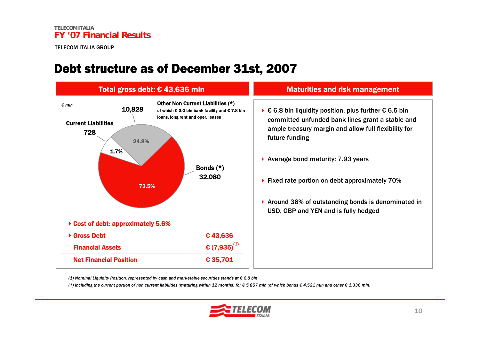#### Debt structure as of December 31st, 2007



*(1) Nominal Liquidity Position, represented by cash and marketable securities stands at € 6.8 bln*

(\*) including the current portion of non current liabilities (maturing within 12 months) for  $\epsilon$  5.857 mln (of which bonds  $\epsilon$  4.521 mln and other  $\epsilon$  1.336 mln)

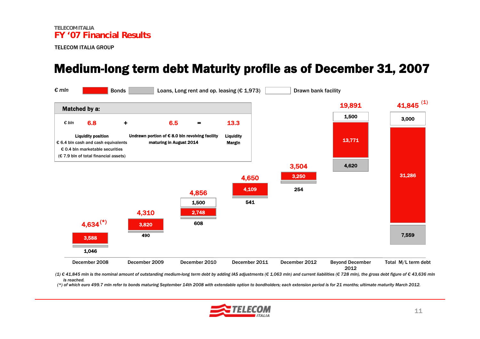#### Medium-long term debt Maturity profile as of December 31, 2007



(1) € 41,845 mln is the nominal amount of outstanding medium-long term debt by adding IAS adjustments (€ 1,063 mln) and current liabilities (€ 728 mln), the gross debt figure of € 43,636 mln *is reached.*

(\*) of which euro 499.7 mln refer to bonds maturing September 14th 2008 with extendable option to bondholders; each extension period is for 21 months; ultimate maturity March 2012.

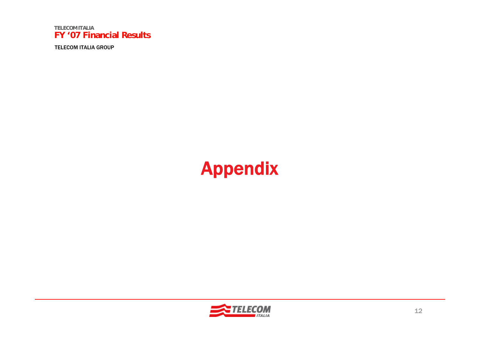

TELECOM ITALIA GROUP

## Appendix

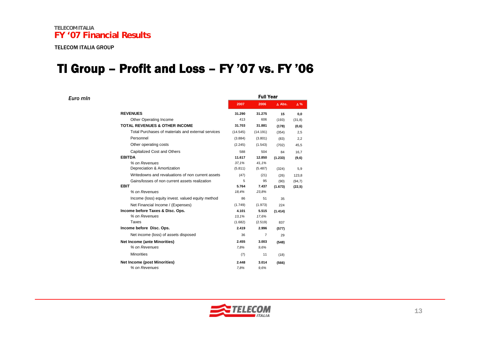*Euro mln*

#### TI Group – Profit and Loss – FY '07 vs. FY '06

|                                                    | <b>Full Year</b> |          |               |            |  |  |  |
|----------------------------------------------------|------------------|----------|---------------|------------|--|--|--|
|                                                    | 2007             | 2006     | $\Delta$ Abs. | $\Delta\%$ |  |  |  |
| <b>REVENUES</b>                                    | 31.290           | 31.275   | 15            | 0,0        |  |  |  |
| Other Operating Income                             | 413              | 606      | (193)         | (31, 8)    |  |  |  |
| <b>TOTAL REVENUES &amp; OTHER INCOME</b>           | 31.703           | 31.881   | (178)         | (0,6)      |  |  |  |
| Total Purchases of materials and external services | (14.545)         | (14.191) | (354)         | 2,5        |  |  |  |
| Personnel                                          | (3.884)          | (3.801)  | (83)          | 2.2        |  |  |  |
| Other operating costs                              | (2.245)          | (1.543)  | (702)         | 45,5       |  |  |  |
| Capitalized Cost and Others                        | 588              | 504      | 84            | 16,7       |  |  |  |
| <b>EBITDA</b>                                      | 11.617           | 12.850   | (1.233)       | (9,6)      |  |  |  |
| % on Revenues                                      | 37,1%            | 41.1%    |               |            |  |  |  |
| Depreciation & Amortization                        | (5.811)          | (5.487)  | (324)         | 5,9        |  |  |  |
| Writedowns and revaluations of non current assets  | (47)             | (21)     | (26)          | 123,8      |  |  |  |
| Gains/losses of non current assets realization     | 5                | 95       | (90)          | (94,7)     |  |  |  |
| <b>EBIT</b>                                        | 5.764            | 7.437    | (1.673)       | (22,5)     |  |  |  |
| % on Revenues                                      | 18,4%            | 23,8%    |               |            |  |  |  |
| Income (loss) equity invest. valued equity method  | 86               | 51       | 35            |            |  |  |  |
| Net Financial Income / (Expenses)                  | (1.749)          | (1.973)  | 224           |            |  |  |  |
| Income before Taxes & Disc. Ops.                   | 4.101            | 5.515    | (1.414)       |            |  |  |  |
| % on Revenues                                      | 13,1%            | 17,6%    |               |            |  |  |  |
| Taxes                                              | (1.682)          | (2.519)  | 837           |            |  |  |  |
| Income before Disc. Ops.                           | 2.419            | 2.996    | (577)         |            |  |  |  |
| Net income (loss) of assets disposed               | 36               | 7        | 29            |            |  |  |  |
| <b>Net Income (ante Minorities)</b>                | 2.455            | 3.003    | (548)         |            |  |  |  |
| % on Revenues                                      | 7.8%             | 9.6%     |               |            |  |  |  |
| <b>Minorities</b>                                  | (7)              | 11       | (18)          |            |  |  |  |
| <b>Net Income (post Minorities)</b>                | 2.448            | 3.014    | (566)         |            |  |  |  |
| % on Revenues                                      | 7.8%             | 9.6%     |               |            |  |  |  |

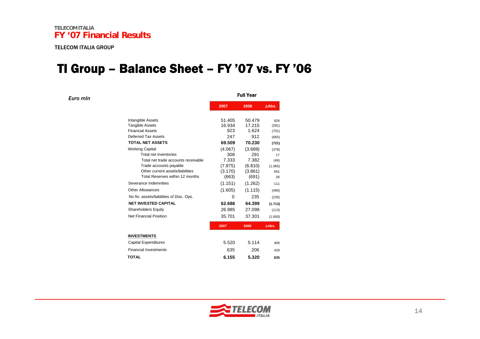*Euro mln*

#### TI Group – Balance Sheet – FY '07 vs. FY '06

|                                                                     |         | <b>Full Year</b> |                  |
|---------------------------------------------------------------------|---------|------------------|------------------|
|                                                                     | 2007    | 2006             | $\triangle$ Abs. |
| Intangible Assets                                                   | 51.405  | 50.479           | 926              |
| <b>Tangible Assets</b>                                              | 16.934  | 17.215           | (281)            |
| <b>Financial Assets</b>                                             | 923     | 1.624            | (701)            |
| Deferred Tax Assets                                                 | 247     | 912              | (665)            |
| <b>TOTAL NET ASSETS</b>                                             | 69.509  | 70.230           | (721)            |
| <b>Working Capital</b>                                              | (4.067) | (3.689)          | (378)            |
| Total net inventories                                               | 308     | 291              | 17               |
| Total net trade accounts receivable                                 | 7.333   | 7.382            | (49)             |
| Trade accounts payable                                              | (7.875) | (6.810)          | (1.065)          |
| Other current assets/liabilities<br>Total Reserves within 12 months | (3.170) | (3.861)          | 691              |
|                                                                     | (663)   | (691)            | 28               |
| Severance Indemnities                                               | (1.151) | (1.262)          | 111              |
| Other Allowances                                                    | (1.605) | (1.115)          | (490)            |
| No fin. assets/liabilities of Disc. Ops.                            | 0       | 235              | (235)            |
| <b>NET INVESTED CAPITAL</b>                                         | 62.686  | 64.399           | (1.713)          |
| <b>Shareholders Equity</b>                                          | 26.985  | 27.098           | (113)            |
| Net Financial Position                                              | 35.701  | 37.301           | (1.600)          |
|                                                                     | 2007    | 2006             | ∆Abs.            |
| <b>INVESTMENTS</b>                                                  |         |                  |                  |
| <b>Capital Expenditures</b>                                         | 5.520   | 5.114            | 406              |
| <b>Financial Investments</b>                                        | 635     | 206              | 429              |
| <b>TOTAL</b>                                                        | 6.155   | 5.320            | 835              |
|                                                                     |         |                  |                  |

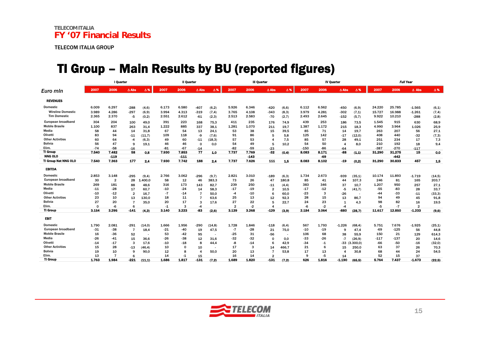#### TI Group – Main Results by BU (reported figures)

|                          |          | I Quarter      |                |                          |       | Il Quarter  |                |         |                | <b>III Quarter</b> |                |                |        | <b>IV Quarter</b> |                     |                   |        | <b>Full Year</b> |                |            |  |
|--------------------------|----------|----------------|----------------|--------------------------|-------|-------------|----------------|---------|----------------|--------------------|----------------|----------------|--------|-------------------|---------------------|-------------------|--------|------------------|----------------|------------|--|
| Euro min                 | 2007     | 2006           | $\Delta$ Abs   | Δ%                       | 2007  | 2006        | $\Delta$ Abs   | Δ%      | 2007           | 2006               | $\Delta$ Abs   | $\Delta$ %     | 2007   | 2006              | $\Delta$ Abs        | $\Delta$ %        | 2007   | 2006             | $\Delta$ Abs   | $\Delta$ % |  |
| <b>REVENUES</b>          |          |                |                |                          |       |             |                |         |                |                    |                |                |        |                   |                     |                   |        |                  |                |            |  |
| Domestic                 | 6.009    | 6.297          | $-288$         | (4,6)                    | 6.173 | 6.580       | $-407$         | (6,2)   | 5.926          | 6.346              | $-420$         | (6, 6)         | 6.112  | 6.562             | $-450$              | (6, 9)            | 24.220 | 25.785           | $-1.565$       | (6,1)      |  |
| <b>Wireline Domestic</b> | 3.989    | 4.286          | $-297$         | (6, 9)                   | 3.994 | 4.313       | $-319$         | (7, 4)  | 3.765          | 4.108              | $-343$         | (8,3)          | 3.979  | 4.281             | $-302$              | (7,1)             | 15.727 | 16.988           | $-1.261$       | (7, 4)     |  |
| <b>Tim Domestic</b>      | 2.365    | 2.370          | -5             | (0,2)                    | 2.551 | 2.612       | $-61$          | (2,3)   | 2.513          | 2.583              | -70            | (2,7)          | 2.493  | 2.645             | $-152$              | (5,7)             | 9.922  | 10.210           | $-288$         | (2,8)      |  |
| European broadband       | 304      | 204            | 100            | 49.0                     | 391   | 223         | 168            | 75,3    | 411            | 235                | 176            | 74,9           | 439    | 253               | 186                 | 73.5              | 1.545  | 915              | 630            | 68,9       |  |
| <b>Mobile Brasile</b>    | 1.100    | 837            | 263            | 31.4                     | 1.222 | 885         | 337            | 38,1    | 1.281          | 1.070              | 211            | 19.7           | 1.387  | 1.172             | 215                 | 18.3              | 4.990  | 3.964            | 1.026          | 25,9       |  |
| Media                    | 58       | 44             | 14             | 31.8                     | 67    | 54          | 13             | 24,1    | 53             | 38                 | 15             | 39,5           | 85     | 71                | 14                  | 19.7              | 263    | 207              | 56             | 27,1       |  |
| Olivetti                 | 83       | 94             | $-11$          | (11,7)                   | 109   | 118         | -9             | (7,6)   | 91             | 86                 | 5              | 5.8            | 125    | 142               | $-17$               | (12,0)            | 408    | 440              | -32            | (7, 3)     |  |
| <b>Other Activities</b>  | 60       | 64             | $-4$           | (6,3)                    | 49    | 60          | $-11$          | (18, 3) | 57             | 53                 | 4              | 7,5            | 85     | 57                | 28                  | 49,1              | 251    | 234              | 17             | 7,3        |  |
| <b>Bolivia</b>           | 56       | 47             | 9              | 19.1                     | 46    | 46          | $\Omega$       | 0.0     | 54             | 49                 | 5              | 10.2           | 54     | 50                | $\overline{4}$      | 8.0               | 210    | 192              | 18             | 9,4        |  |
| Elim.                    | $-74$    | -58            | $-16$          |                          | $-81$ | -67         | $-14$          |         | -82            | -59                | $-23$          |                | $-150$ | -86               | -64                 |                   | $-387$ | $-270$           | $-117$         |            |  |
| TI Group                 | 7.540    | 7.482          | 58             | 0.8                      | 7.930 | 7.853       | 77             | 1.0     | 7.737          | 7.769              | $-32$          | (0.4)          | 8.083  | 8.171             | -88                 | (1.1)             | 31.290 | 31.275           | 15             | 0.0        |  |
| <b>NNG OLO</b>           |          | $-119$         |                |                          |       | $-111$      |                |         |                | $-143$             |                |                |        | -69               |                     |                   |        | $-442$           |                |            |  |
| TI Group Net NNG OLO     | 7.540    | 7.363          | 177            | 2,4                      | 7.930 | 7.742       | 188            | 2.4     | 7.737          | 7.626              | 111            | 1.5            | 8.083  | 8.102             | $-19$               | (0,2)             | 31.290 | 30.833           | 457            | 1.5        |  |
| <b>EBITDA</b>            |          |                |                |                          |       |             |                |         |                |                    |                |                |        |                   |                     |                   |        |                  |                |            |  |
| <b>Domestic</b>          | 2.853    | 3.148          | $-295$         | (9,4)                    | 2.766 | 3.062       | $-296$         | (9,7)   | 2.821          | 3.010              | -189           | (6,3)          | 1.734  | 2.673             | -939                | (35,1)            | 10.174 | 11.893           | $-1.719$       | (14, 5)    |  |
| European broadband       | 30       | $\overline{2}$ | 28             | 1.400.0                  | 58    | 12          | 46             | 383,3   | 73             | 26                 | 47             | 180.8          | 85     | 41                | 44                  | 107.3             | 246    | 81               | 165            | 203,7      |  |
| <b>Mobile Brasile</b>    | 269      | 181            | 88             | 48,6                     | 316   | 173         | 143            | 82.7    | 239            | 250                | $-11$          | (4,4)          | 383    | 346               | 37                  | 10.7              | 1.207  | 950              | 257            | 27,1       |  |
| Media                    | $-11$    | $-28$          | 17             | 60.7                     | $-10$ | $-24$       | 14             | 58,3    | $-17$          | $-19$              | $\overline{2}$ | 10.5           | $-17$  | $-12$             | -5                  | (41,7)            | $-55$  | -83              | 28             | 33,7       |  |
| Olivetti                 | $-10$    | $-12$          | $\overline{2}$ | 16.7                     | $-7$  | $-14$       | $\overline{7}$ | 50,0    | $-4$           | -10                | 6              | 60.0           | $-23$  | 3                 | $-26$               |                   | -44    | $-33$            | $-11$          | (33,3)     |  |
| <b>Other Activities</b>  | 23       | 10             | 13             | 130.0                    | 18    | 11          | 7              | 63,6    | 25             | 13                 | 12             | 92,3           | 28     | 15                | 13                  | 86.7              | 94     | 49               | 45             | 91,8       |  |
| <b>Bolivia</b>           | 27       | 20             | 7              | 35.0                     | 20    | 17          | 3              | 17.6    | 27             | 22                 | 5              | 22.7           | 24     | 23                | 1                   | 4.3               | 98     | 82               | 16             | 19,5       |  |
| Elim.                    | $\Omega$ | $-6$           | 6              |                          | $-1$  | 3           | -4             |         | $\overline{2}$ | $-2$               | 4              |                | -6     | $-2$              | $-4$                |                   | -5     | $-7$             | $\overline{2}$ |            |  |
| <b>TI Group</b>          | 3.154    | 3.295          | $-141$         | (4,3)                    | 3.140 | 3.223       | -83            | (2.6)   | 3.139          | 3.268              | $-129$         | (3,9)          | 2.184  | 3.064             | -880                | (28.7)            | 11.617 | 12.850           | $-1.233$       | (9,6)      |  |
| <b>EBIT</b>              |          |                |                |                          |       |             |                |         |                |                    |                |                |        |                   |                     |                   |        |                  |                |            |  |
| <b>Domestic</b>          | 1.790    | 2.081          | $-291$         | (14,0)                   | 1.666 | 1.956       | $-290$         | (14, 8) | 1.728          | 1.846              | $-118$         | (6, 4)         | 567    | 1.793             | $-1.226$            | (68, 4)           | 5.751  | 7.676            | $-1.925$       | (25,1)     |  |
| European broadband       | $-31$    | $-38$          | $\overline{7}$ | 18,4                     | $-21$ | $-40$       | 19             | 47,5    | $-7$           | $-28$              | 21             | 75,0           | $-10$  | $-19$             | 9                   | 47.4              | $-69$  | $-125$           | 56             | 44,8       |  |
| <b>Mobile Brasile</b>    | 16       | $-36$          | 52             | $\overline{\phantom{a}}$ | 53    | -42         | 95             | $\sim$  | -25            | 31                 | $-56$          | $\overline{a}$ | 106    | 68                | 38                  | 55.9              | 150    | 21               | 129            | 614,3      |  |
| Media                    | $-26$    | $-41$          | 15             | 36,6                     | $-26$ | -38         | 12             | 31,6    | -32            | -32                | $\Omega$       | 0.0            | $-33$  | -26               | $-7$                | (26, 9)           | $-117$ | $-137$           | 20             | 14,6       |  |
| Olivetti                 | $-14$    | $-17$          | 3              | 17.6                     | $-10$ | $-18$       | 8              | 44,4    | -8             | $-14$              | 6              | 42.9           | $-34$  | $-1$              |                     | $-33$ $(3.300,0)$ | -66    | $-50$            | $-16$          | (32,0)     |  |
| <b>Other Activities</b>  | 15       | 28             | $-13$          | (46, 4)                  | 10    | $\mathbf 0$ | 10             |         | 17             | 3                  | 14             | 466,7          | 21     | 6                 | 15                  | 250,0             | 63     | 37               | 26             | 70,3       |  |
| <b>Bolivia</b>           | 19       | 10             | 9              | 90.0                     | 12    | 8           | $\overline{4}$ | 50.0    | 20             | 13                 | $\overline{7}$ | 53.8           | 17     | 13                | $\overline{\bf{4}}$ | 30.8              | 68     | 44               | 24             | 54,5       |  |
| Elim.                    | 13       |                | 6              |                          | 14    | -1          | 15             |         | 16             | 14                 | 2              |                | q      | $-5$              | 14                  |                   | 52     | 15               | 37             |            |  |
| <b>TI Group</b>          | 1.763    | 1.984          | $-221$         | (11.1)                   | 1.686 | 1.817       | $-131$         | (7.2)   | 1.689          | 1.820              | $-131$         | (7.2)          | 626    | 1.816             | $-1.190$            | (65.5)            | 5.764  | 7.437            | $-1.673$       | (22.5)     |  |